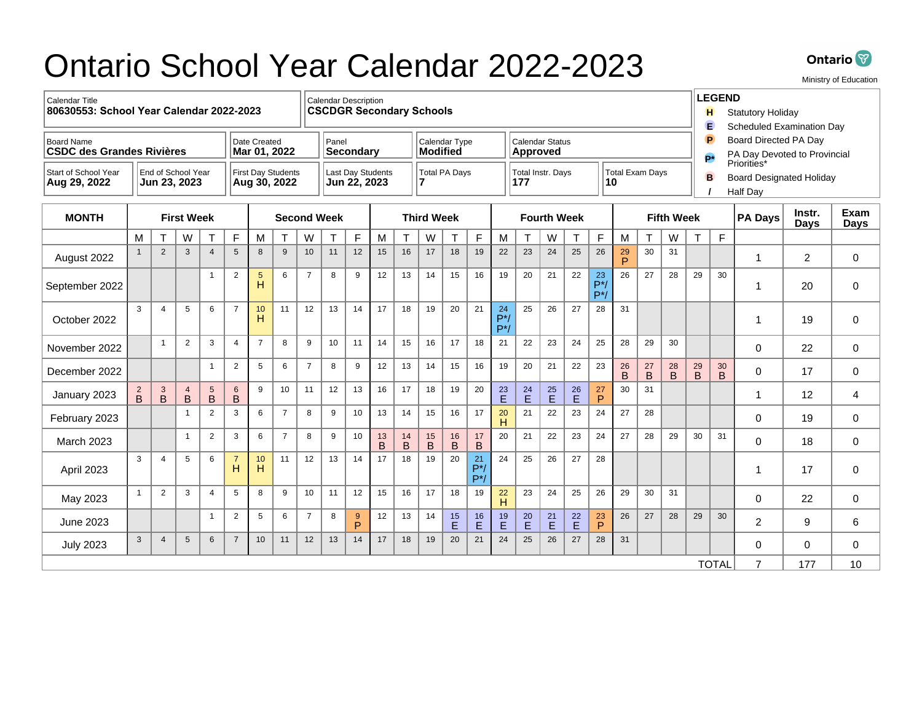## Ontario School Year Calendar 2022-2023



Ministry of Education

| <b>Calendar Title</b><br>80630553: School Year Calendar 2022-2023                     |                                                                                 |                |                     |                    |                                          | <b>Calendar Description</b><br><b>CSCDGR Secondary Schools</b> |                |                  |               |                   |                                  |               |                                                          |                                           |                      |                      |                 | <b>LEGEND</b><br>н<br><b>Statutory Holiday</b><br>E<br><b>Scheduled Examination Day</b> |                              |                      |                                                                  |                      |                |                       |                     |                |                |             |
|---------------------------------------------------------------------------------------|---------------------------------------------------------------------------------|----------------|---------------------|--------------------|------------------------------------------|----------------------------------------------------------------|----------------|------------------|---------------|-------------------|----------------------------------|---------------|----------------------------------------------------------|-------------------------------------------|----------------------|----------------------|-----------------|-----------------------------------------------------------------------------------------|------------------------------|----------------------|------------------------------------------------------------------|----------------------|----------------|-----------------------|---------------------|----------------|----------------|-------------|
| Date Created<br><b>Board Name</b><br><b>CSDC des Grandes Rivières</b><br>Mar 01, 2022 |                                                                                 |                |                     |                    |                                          | Panel<br><b>Secondary</b>                                      |                |                  |               |                   | Calendar Type<br><b>Modified</b> |               |                                                          | <b>Calendar Status</b><br><b>Approved</b> |                      |                      |                 |                                                                                         |                              |                      | P<br>Board Directed PA Day<br>PA Day Devoted to Provincial<br>p* |                      |                |                       |                     |                |                |             |
| Start of School Year<br>Aug 29, 2022                                                  | End of School Year<br><b>First Day Students</b><br>Jun 23, 2023<br>Aug 30, 2022 |                |                     |                    | <b>Last Day Students</b><br>Jun 22, 2023 |                                                                |                |                  | Total PA Days |                   |                                  |               | Total Exam Days<br><b>Total Instr. Days</b><br>177<br>10 |                                           |                      |                      |                 | Priorities*<br>B<br><b>Board Designated Holiday</b><br><b>Half Day</b>                  |                              |                      |                                                                  |                      |                |                       |                     |                |                |             |
| <b>MONTH</b>                                                                          | <b>First Week</b>                                                               |                |                     | <b>Second Week</b> |                                          |                                                                |                |                  |               | <b>Third Week</b> |                                  |               |                                                          | <b>Fourth Week</b>                        |                      |                      |                 | <b>Fifth Week</b>                                                                       |                              |                      |                                                                  |                      | <b>PA Days</b> | Instr.<br><b>Davs</b> | <b>Exam</b><br>Days |                |                |             |
|                                                                                       | M                                                                               |                | W                   | T                  | F                                        | M                                                              | T              | W                | Τ             | F                 | M                                | $\mathsf{T}$  | W                                                        |                                           | F                    | M                    | T               | W                                                                                       | T                            | F                    | М                                                                | T.                   | W              | $\mathsf{T}$          | $\mathsf{F}$        |                |                |             |
| August 2022                                                                           | $\overline{1}$                                                                  | $\overline{2}$ | $\mathbf{3}$        | $\overline{4}$     | 5                                        | 8                                                              | 9              | 10 <sup>10</sup> | 11            | 12                | 15                               | 16            | 17                                                       | 18                                        | 19                   | 22                   | 23              | 24                                                                                      | 25                           | 26                   | 29<br><b>D</b>                                                   | 30                   | 31             |                       |                     | 1              | $\overline{2}$ | $\mathbf 0$ |
| September 2022                                                                        |                                                                                 |                |                     | $\mathbf{1}$       | $\overline{2}$                           | 5<br>H                                                         | 6              | $\overline{7}$   | 8             | 9                 | 12                               | 13            | 14                                                       | 15                                        | 16                   | 19                   | 20              | 21                                                                                      | 22                           | 23<br>$P^*$<br>$P^*$ | 26                                                               | 27                   | 28             | 29                    | 30                  |                | 20             | $\mathbf 0$ |
| October 2022                                                                          | 3                                                                               | $\Delta$       | 5                   | 6                  | $\overline{7}$                           | 10<br>H                                                        | 11             | 12               | 13            | 14                | 17                               | 18            | 19                                                       | 20                                        | 21                   | 24<br>$P^*$<br>$P^*$ | 25              | 26                                                                                      | 27                           | 28                   | 31                                                               |                      |                |                       |                     | 1              | 19             | $\mathbf 0$ |
| November 2022                                                                         |                                                                                 | $\overline{1}$ | $\overline{2}$      | 3                  | $\overline{4}$                           | $\overline{7}$                                                 | 8              | 9                | 10            | 11                | 14                               | 15            | 16                                                       | 17                                        | 18                   | 21                   | 22              | 23                                                                                      | 24                           | 25                   | 28                                                               | 29                   | 30             |                       |                     | $\Omega$       | 22             | 0           |
| December 2022                                                                         |                                                                                 |                |                     | $\mathbf{1}$       | 2                                        | 5                                                              | 6              | $\overline{7}$   | 8             | 9                 | 12                               | 13            | 14                                                       | 15                                        | 16                   | 19                   | 20              | 21                                                                                      | 22                           | 23                   | 26<br>B                                                          | 27<br>$\overline{B}$ | 28<br>B        | 29<br>$\mathsf B$     | 30<br>B             | 0              | 17             | 0           |
| January 2023                                                                          | $\overline{c}$<br>B                                                             | 3<br>B         | $\overline{4}$<br>B | $^5_\mathrm{B}$    | 6<br>B                                   | 9                                                              | 10             | 11               | 12            | 13                | 16                               | 17            | 18                                                       | 19                                        | 20                   | $^{23}_{\rm E}$      | $^{24}_{\rm E}$ | $^{25}$                                                                                 | 26<br>E                      | 27<br>P              | 30                                                               | 31                   |                |                       |                     | 1              | 12             | 4           |
| February 2023                                                                         |                                                                                 |                | $\mathbf{1}$        | 2                  | 3                                        | 6                                                              | $\overline{7}$ | 8                | 9             | 10                | 13                               | 14            | 15                                                       | 16                                        | 17                   | 20<br>H              | 21              | 22                                                                                      | 23                           | 24                   | 27                                                               | 28                   |                |                       |                     | $\Omega$       | 19             | $\Omega$    |
| <b>March 2023</b>                                                                     |                                                                                 |                | $\mathbf{1}$        | 2                  | 3                                        | 6                                                              | $\overline{7}$ | 8                | 9             | 10                | 13<br>$\overline{B}$             | 14<br>$\sf B$ | 15<br>$\overline{B}$                                     | 16<br>$\overline{B}$                      | 17<br>$\mathsf B$    | 20                   | 21              | 22                                                                                      | 23                           | 24                   | 27                                                               | 28                   | 29             | 30                    | 31                  | $\Omega$       | 18             | $\mathbf 0$ |
| April 2023                                                                            | 3                                                                               | $\overline{4}$ | 5                   | 6                  | $\overline{7}$<br>H                      | 10<br>H                                                        | 11             | 12               | 13            | 14                | 17                               | 18            | 19                                                       | 20                                        | 21<br>$P^*$<br>$P^*$ | 24                   | 25              | 26                                                                                      | 27                           | 28                   |                                                                  |                      |                |                       |                     | f              | 17             | $\mathbf 0$ |
| May 2023                                                                              | $\overline{1}$                                                                  | $\mathbf{2}$   | 3                   | $\overline{4}$     | 5                                        | 8                                                              | 9              | 10               | 11            | 12                | 15                               | 16            | 17                                                       | 18                                        | 19                   | 22<br>H              | 23              | 24                                                                                      | 25                           | 26                   | 29                                                               | 30                   | 31             |                       |                     | $\Omega$       | 22             | 0           |
| June 2023                                                                             |                                                                                 |                |                     | $\mathbf{1}$       | $\overline{2}$                           | 5                                                              | 6              | $\overline{7}$   | 8             | 9<br>P            | 12                               | 13            | 14                                                       | 15<br>E                                   | 16<br>E              | 19<br>E              | $20\,$<br>E     | 21<br>E                                                                                 | $^{22}_{\displaystyle\rm E}$ | 23<br>P              | 26                                                               | 27                   | 28             | 29                    | 30                  | $\overline{c}$ | 9              | 6           |
| <b>July 2023</b>                                                                      | 3                                                                               | 4              | $5\phantom{.0}$     | 6                  | $\overline{7}$                           | 10                                                             | 11             | 12               | 13            | 14                | 17                               | 18            | 19                                                       | 20                                        | 21                   | 24                   | 25              | 26                                                                                      | 27                           | 28                   | 31                                                               |                      |                |                       |                     | $\Omega$       | 0              | $\mathbf 0$ |
|                                                                                       |                                                                                 |                |                     |                    |                                          |                                                                |                |                  |               |                   |                                  |               |                                                          |                                           |                      |                      |                 |                                                                                         |                              |                      |                                                                  |                      |                |                       | <b>TOTAL</b>        | 7              | 177            | 10          |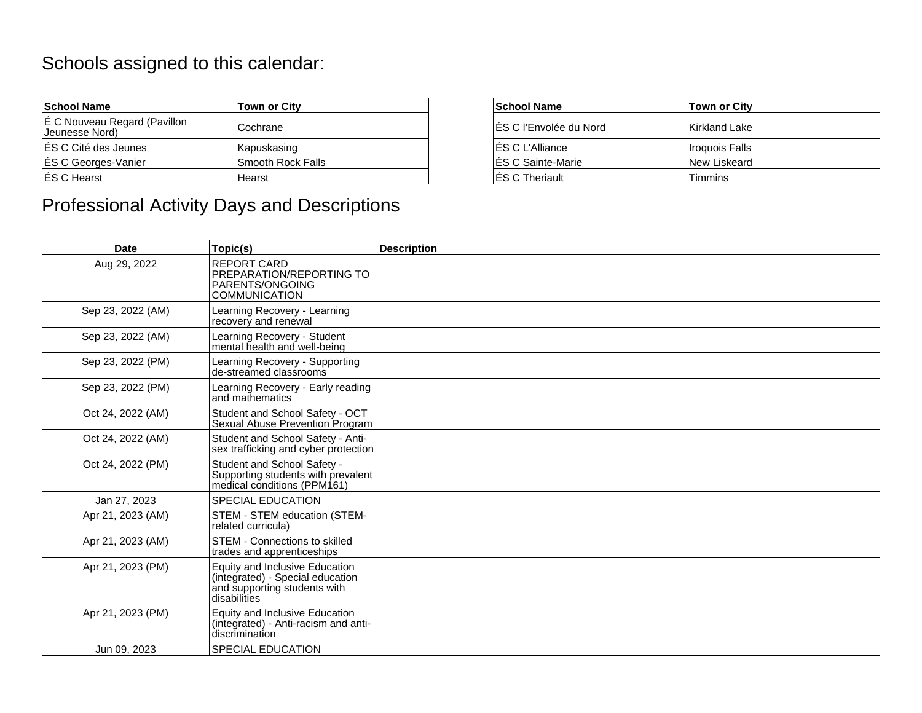## Schools assigned to this calendar:

| <b>School Name</b>                             | <b>Town or City</b> | <b>School Name</b>     | Town or City          |
|------------------------------------------------|---------------------|------------------------|-----------------------|
| E C Nouveau Regard (Pavillon<br>Jeunesse Nord) | Cochrane            | ES C l'Envolée du Nord | Kirkland Lake         |
| <b>ÉS C Cité des Jeunes</b>                    | Kapuskasing         | ES C L'Alliance        | <b>Iroquois Falls</b> |
| <b>ES C Georges-Vanier</b>                     | Smooth Rock Falls   | IES C Sainte-Marie     | <b>New Liskeard</b>   |
| ES C Hearst                                    | Hearst              | <b>IES C Theriault</b> | <b>Timmins</b>        |

## Professional Activity Days and Descriptions

| ty       | <b>School Name</b>      | <b>Town or City</b> |
|----------|-------------------------|---------------------|
|          | IES C l'Envolée du Nord | l Kirkland Lake     |
| q        | ES C L'Alliance         | I Iroguois Falls    |
| ck Falls | ES C Sainte-Marie       | New Liskeard        |
|          | <b>IES C Theriault</b>  | <b>Timmins</b>      |

| <b>Date</b>       | Topic(s)                                                                                                           | <b>Description</b> |
|-------------------|--------------------------------------------------------------------------------------------------------------------|--------------------|
| Aug 29, 2022      | REPORT CARD<br>PREPARATION/REPORTING TO<br>PARENTS/ONGOING<br><b>COMMUNICATION</b>                                 |                    |
| Sep 23, 2022 (AM) | Learning Recovery - Learning<br>recovery and renewal                                                               |                    |
| Sep 23, 2022 (AM) | Learning Recovery - Student<br>mental health and well-being                                                        |                    |
| Sep 23, 2022 (PM) | Learning Recovery - Supporting<br>de-streamed classrooms                                                           |                    |
| Sep 23, 2022 (PM) | Learning Recovery - Early reading<br>land mathematics                                                              |                    |
| Oct 24, 2022 (AM) | Student and School Safety - OCT<br>Sexual Abuse Prevention Program                                                 |                    |
| Oct 24, 2022 (AM) | Student and School Safety - Anti-<br>sex trafficking and cyber protection                                          |                    |
| Oct 24, 2022 (PM) | Student and School Safety -<br>Supporting students with prevalent<br>medical conditions (PPM161)                   |                    |
| Jan 27, 2023      | SPECIAL EDUCATION                                                                                                  |                    |
| Apr 21, 2023 (AM) | <b>STEM - STEM education (STEM-</b><br>related curricula)                                                          |                    |
| Apr 21, 2023 (AM) | STEM - Connections to skilled<br>trades and apprenticeships                                                        |                    |
| Apr 21, 2023 (PM) | Equity and Inclusive Education<br>(integrated) - Special education<br>and supporting students with<br>disabilities |                    |
| Apr 21, 2023 (PM) | <b>Equity and Inclusive Education</b><br>(integrated) - Anti-racism and anti-<br>discrimination                    |                    |
| Jun 09, 2023      | <b>SPECIAL EDUCATION</b>                                                                                           |                    |